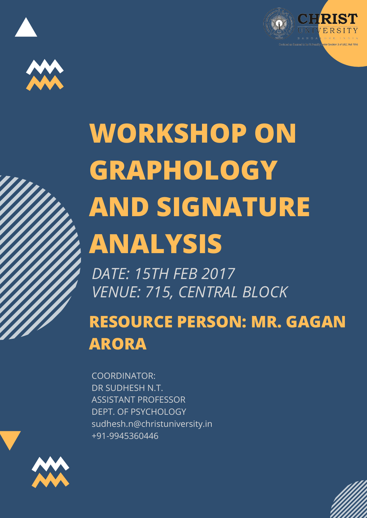



## **WORKSHOP ON GRAPHOLOGY AND SIGNATURE ANALYSIS**

*DATE: 15TH FEB 2017 VENUE: 715, CENTRAL BLOCK*

**RESOURCE PERSON: MR. GAGAN ARORA**

COORDINATOR: DR SUDHESH N.T. ASSISTANT PROFESSOR DEPT. OF PSYCHOLOGY sudhesh.n@christuniversity.in +91-9945360446



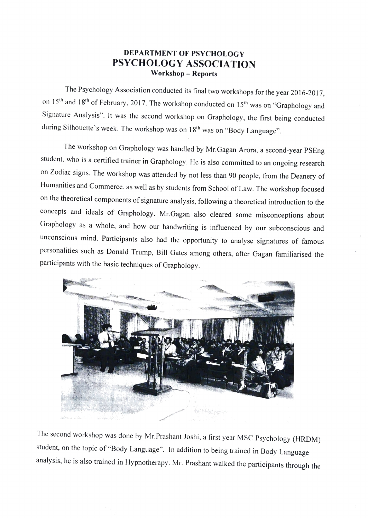## DEPARTMENT OF PSYCHOLOGY PSYCHOLOGY ASSOCIATION Workshop- Reports

The Psychology Association conducted its final two workshops for the year 2016-2017, on 15<sup>th</sup> and 18<sup>th</sup> of February, 2017. The workshop conducted on 15<sup>th</sup> was on "Graphology and Signature Analysis". It was the second workshop on Graphology, the first being conducted during Silhouette's week. The workshop was on 18<sup>th</sup> was on "Body Language".

The workshop on Graphology was handled by Mr.Gagan Arora, a second-year PSEng student, who is a certified trainer in Graphology. He is also committed to an ongoing research on Zodiac signs. The workshop was attended by not less than 90 people, from the Deanery of Humanities and Commerce, as well as by students from School of Law. The workshop focused on the theoretical components of signature analysis, following a theoretical introduction to the concepts and ideals of Graphology. Mr.Gagan also cleared some misconceptions about Graphology as a whole, and how our handwriting is influenced by our subconscious and unconscious mind. Participants also had the opportunity to analyse signatures of famous personalities such as Donald Trump, Bill Gates among others, after Gagan familiarised the participants with the basic techniques of Graphology.



The second workshop was done by Mr.Prashant Joshi, a first year MSC Psychology (HRDM) student, on the topic of "Body Language". In addition to being trained in Body Language analysis, he is also trained in Hypnotherapy. Mr. Prashant walked the participants through the